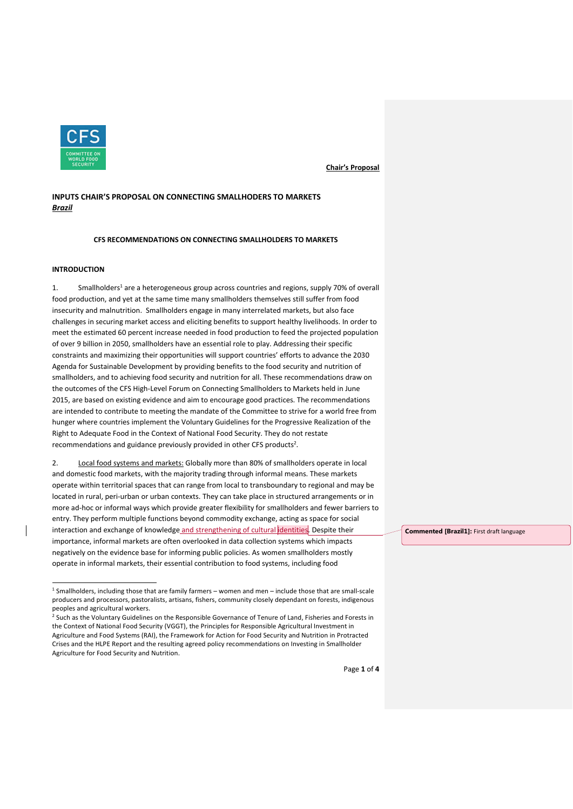

# **INPUTS CHAIR'S PROPOSAL ON CONNECTING SMALLHODERS TO MARKETS** *Brazil*

**CFS RECOMMENDATIONS ON CONNECTING SMALLHOLDERS TO MARKETS**

## **INTRODUCTION**

1. Smallholders<sup>1</sup> are a heterogeneous group across countries and regions, supply 70% of overall food production, and yet at the same time many smallholders themselves still suffer from food insecurity and malnutrition. Smallholders engage in many interrelated markets, but also face challenges in securing market access and eliciting benefits to support healthy livelihoods. In order to meet the estimated 60 percent increase needed in food production to feed the projected population of over 9 billion in 2050, smallholders have an essential role to play. Addressing their specific constraints and maximizing their opportunities will support countries' efforts to advance the 2030 Agenda for Sustainable Development by providing benefits to the food security and nutrition of smallholders, and to achieving food security and nutrition for all. These recommendations draw on the outcomes of the CFS High-Level Forum on Connecting Smallholders to Markets held in June 2015, are based on existing evidence and aim to encourage good practices. The recommendations are intended to contribute to meeting the mandate of the Committee to strive for a world free from hunger where countries implement the Voluntary Guidelines for the Progressive Realization of the Right to Adequate Food in the Context of National Food Security. They do not restate recommendations and guidance previously provided in other CFS products<sup>2</sup>.

2. Local food systems and markets: Globally more than 80% of smallholders operate in local and domestic food markets, with the majority trading through informal means. These markets operate within territorial spaces that can range from local to transboundary to regional and may be located in rural, peri-urban or urban contexts. They can take place in structured arrangements or in more ad-hoc or informal ways which provide greater flexibility for smallholders and fewer barriers to entry. They perform multiple functions beyond commodity exchange, acting as space for social interaction and exchange of knowledge and strengthening of cultural dentities. Despite their importance, informal markets are often overlooked in data collection systems which impacts negatively on the evidence base for informing public policies. As women smallholders mostly operate in informal markets, their essential contribution to food systems, including food

**Commented [Brazil1]:** First draft language

 $\overline{a}$ 1 Smallholders, including those that are family farmers – women and men – include those that are small-scale producers and processors, pastoralists, artisans, fishers, community closely dependant on forests, indigenous peoples and agricultural workers.

<sup>&</sup>lt;sup>2</sup> Such as the Voluntary Guidelines on the Responsible Governance of Tenure of Land, Fisheries and Forests in the Context of National Food Security (VGGT), the Principles for Responsible Agricultural Investment in Agriculture and Food Systems (RAI), the Framework for Action for Food Security and Nutrition in Protracted Crises and the HLPE Report and the resulting agreed policy recommendations on Investing in Smallholder Agriculture for Food Security and Nutrition.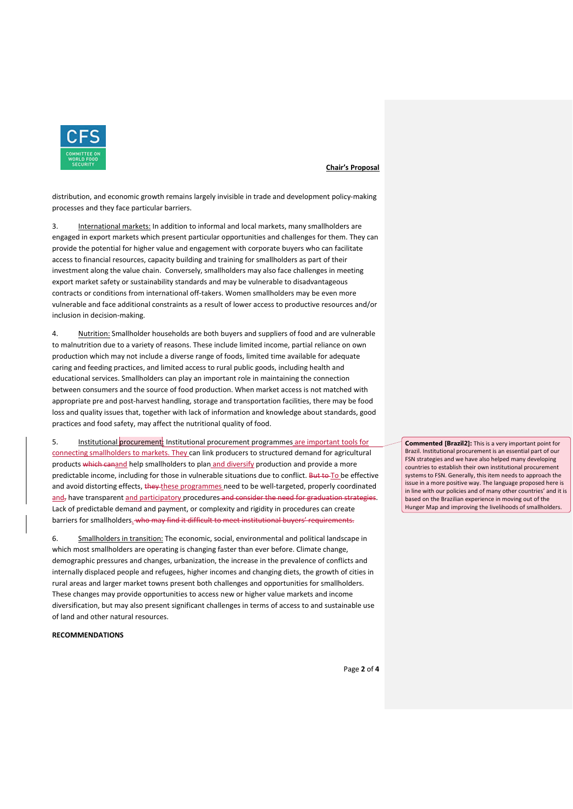

distribution, and economic growth remains largely invisible in trade and development policy-making processes and they face particular barriers.

3. International markets: In addition to informal and local markets, many smallholders are engaged in export markets which present particular opportunities and challenges for them. They can provide the potential for higher value and engagement with corporate buyers who can facilitate access to financial resources, capacity building and training for smallholders as part of their investment along the value chain. Conversely, smallholders may also face challenges in meeting export market safety or sustainability standards and may be vulnerable to disadvantageous contracts or conditions from international off-takers. Women smallholders may be even more vulnerable and face additional constraints as a result of lower access to productive resources and/or inclusion in decision-making.

4. Nutrition: Smallholder households are both buyers and suppliers of food and are vulnerable to malnutrition due to a variety of reasons. These include limited income, partial reliance on own production which may not include a diverse range of foods, limited time available for adequate caring and feeding practices, and limited access to rural public goods, including health and educational services. Smallholders can play an important role in maintaining the connection between consumers and the source of food production. When market access is not matched with appropriate pre and post-harvest handling, storage and transportation facilities, there may be food loss and quality issues that, together with lack of information and knowledge about standards, good practices and food safety, may affect the nutritional quality of food.

Institutional procurement: Institutional procurement programmes are important tools for connecting smallholders to markets. They can link producers to structured demand for agricultural products which canand help smallholders to plan and diversify production and provide a more predictable income, including for those in vulnerable situations due to conflict. But to To be effective and avoid distorting effects, they these programmes need to be well-targeted, properly coordinated and, have transparent and participatory procedures and consider the need for graduation strategies. Lack of predictable demand and payment, or complexity and rigidity in procedures can create barriers for smallholders. who may find it difficult to meet institutional buyers' requirements.

6. Smallholders in transition: The economic, social, environmental and political landscape in which most smallholders are operating is changing faster than ever before. Climate change, demographic pressures and changes, urbanization, the increase in the prevalence of conflicts and internally displaced people and refugees, higher incomes and changing diets, the growth of cities in rural areas and larger market towns present both challenges and opportunities for smallholders. These changes may provide opportunities to access new or higher value markets and income diversification, but may also present significant challenges in terms of access to and sustainable use of land and other natural resources.

#### **RECOMMENDATIONS**

**Commented [Brazil2]:** This is a very important point for Brazil. Institutional procurement is an essential part of our FSN strategies and we have also helped many developing countries to establish their own institutional procurement systems to FSN. Generally, this item needs to approach the issue in a more positive way. The language proposed here is in line with our policies and of many other countries' and it is based on the Brazilian experience in moving out of the Hunger Map and improving the livelihoods of smallholders.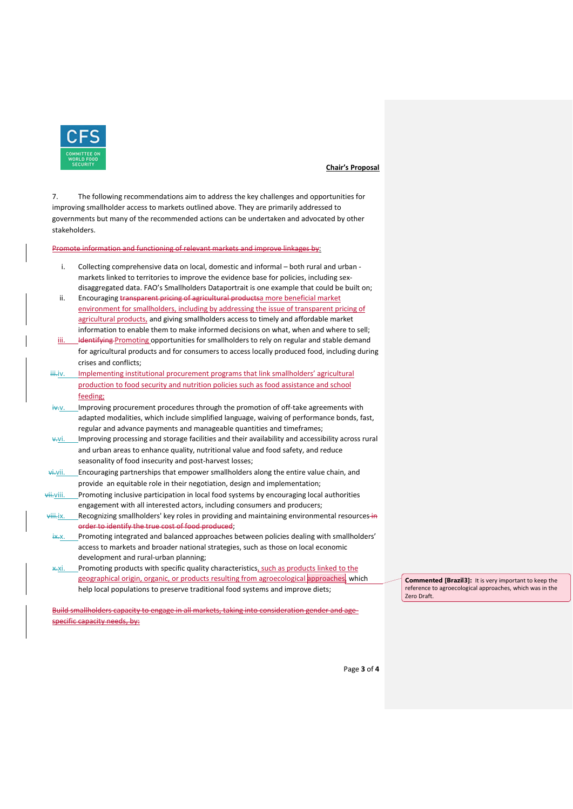

7. The following recommendations aim to address the key challenges and opportunities for improving smallholder access to markets outlined above. They are primarily addressed to governments but many of the recommended actions can be undertaken and advocated by other stakeholders.

ctioning of relevant markets and improve linkages by:

- i. Collecting comprehensive data on local, domestic and informal both rural and urban markets linked to territories to improve the evidence base for policies, including sexdisaggregated data. FAO's Smallholders Dataportrait is one example that could be built on;
- ii. Encouraging transparent pricing of agricultural productsa more beneficial market environment for smallholders, including by addressing the issue of transparent pricing of agricultural products, and giving smallholders access to timely and affordable market information to enable them to make informed decisions on what, when and where to sell;
- iii. Hentifying Promoting opportunities for smallholders to rely on regular and stable demand for agricultural products and for consumers to access locally produced food, including during crises and conflicts;
- iii.iv. Implementing institutional procurement programs that link smallholders' agricultural production to food security and nutrition policies such as food assistance and school feeding;
- iv... Improving procurement procedures through the promotion of off-take agreements with adapted modalities, which include simplified language, waiving of performance bonds, fast, regular and advance payments and manageable quantities and timeframes;
- v.vi. Improving processing and storage facilities and their availability and accessibility across rural and urban areas to enhance quality, nutritional value and food safety, and reduce seasonality of food insecurity and post-harvest losses;
- $\overrightarrow{v}$  i. Encouraging partnerships that empower smallholders along the entire value chain, and provide an equitable role in their negotiation, design and implementation;
- vii.viii. Promoting inclusive participation in local food systems by encouraging local authorities engagement with all interested actors, including consumers and producers;
- viii.ix. Recognizing smallholders' key roles in providing and maintaining environmental resources in order to identify the true cost of food produced;
- $\frac{1}{2}$ . Promoting integrated and balanced approaches between policies dealing with smallholders' access to markets and broader national strategies, such as those on local economic development and rural-urban planning;
- Promoting products with specific quality characteristics, such as products linked to the geographical origin, organic, or products resulting from agroecological approaches, which help local populations to preserve traditional food systems and improve diets;

Build smallholders capacity to engage in all markets, taking into consideration gender and agespecific capacity needs, by:

**Commented [Brazil3]:** It is very important to keep the reference to agroecological approaches, which was in the Zero Draft.